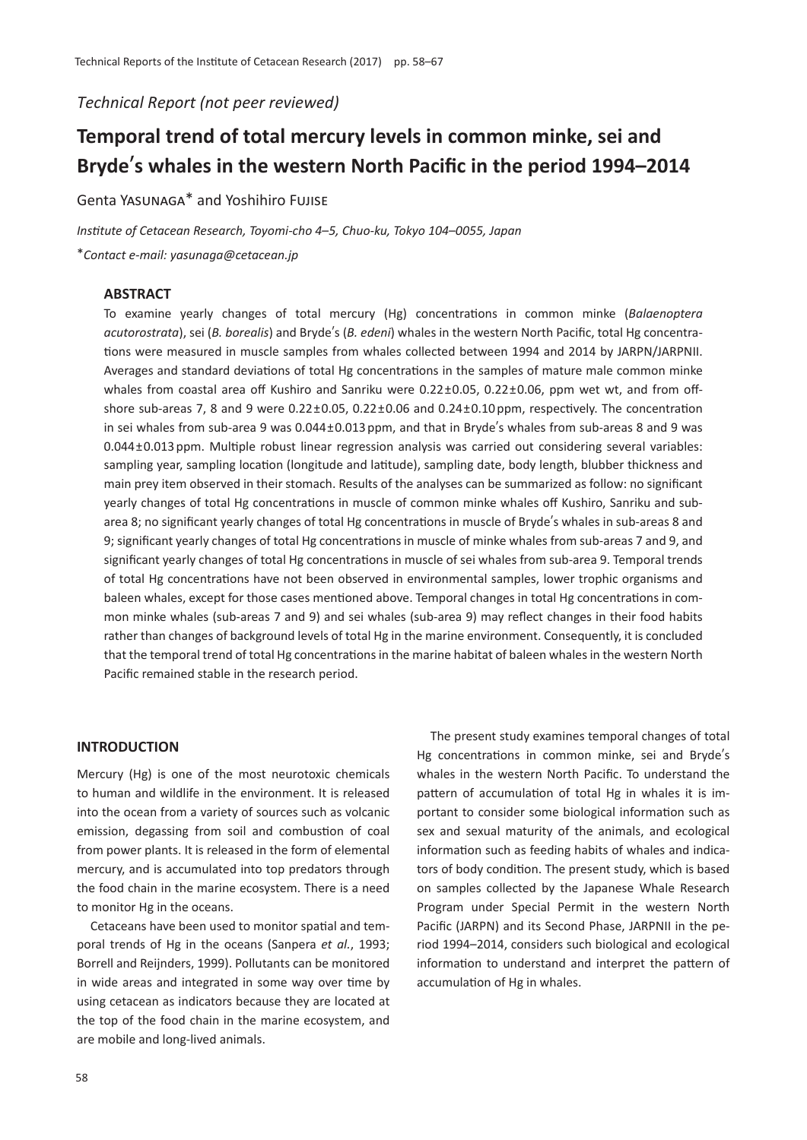*Technical Report (not peer reviewed)*

# **Temporal trend of total mercury levels in common minke, sei and Bryde**'**s whales in the western North Pacific in the period 1994–2014**

Genta Yasunaga\* and Yoshihiro Fujise

*Institute of Cetacean Research, Toyomi-cho 4*–*5, Chuo-ku, Tokyo 104*–*0055, Japan* \**Contact e-mail: yasunaga@cetacean.jp*

# **ABSTRACT**

To examine yearly changes of total mercury (Hg) concentrations in common minke (*Balaenoptera acutorostrata*), sei (*B. borealis*) and Bryde's (*B. edeni*) whales in the western North Pacific, total Hg concentrations were measured in muscle samples from whales collected between 1994 and 2014 by JARPN/JARPNII. Averages and standard deviations of total Hg concentrations in the samples of mature male common minke whales from coastal area off Kushiro and Sanriku were 0.22±0.05, 0.22±0.06, ppm wet wt, and from offshore sub-areas 7, 8 and 9 were 0.22±0.05, 0.22±0.06 and 0.24±0.10 ppm, respectively. The concentration in sei whales from sub-area 9 was 0.044±0.013 ppm, and that in Bryde's whales from sub-areas 8 and 9 was 0.044±0.013 ppm. Multiple robust linear regression analysis was carried out considering several variables: sampling year, sampling location (longitude and latitude), sampling date, body length, blubber thickness and main prey item observed in their stomach. Results of the analyses can be summarized as follow: no significant yearly changes of total Hg concentrations in muscle of common minke whales off Kushiro, Sanriku and subarea 8; no significant yearly changes of total Hg concentrations in muscle of Bryde's whales in sub-areas 8 and 9; significant yearly changes of total Hg concentrations in muscle of minke whales from sub-areas 7 and 9, and significant yearly changes of total Hg concentrations in muscle of sei whales from sub-area 9. Temporal trends of total Hg concentrations have not been observed in environmental samples, lower trophic organisms and baleen whales, except for those cases mentioned above. Temporal changes in total Hg concentrations in common minke whales (sub-areas 7 and 9) and sei whales (sub-area 9) may reflect changes in their food habits rather than changes of background levels of total Hg in the marine environment. Consequently, it is concluded that the temporal trend of total Hg concentrations in the marine habitat of baleen whales in the western North Pacific remained stable in the research period.

# **INTRODUCTION**

Mercury (Hg) is one of the most neurotoxic chemicals to human and wildlife in the environment. It is released into the ocean from a variety of sources such as volcanic emission, degassing from soil and combustion of coal from power plants. It is released in the form of elemental mercury, and is accumulated into top predators through the food chain in the marine ecosystem. There is a need to monitor Hg in the oceans.

Cetaceans have been used to monitor spatial and temporal trends of Hg in the oceans (Sanpera *et al.*, 1993; Borrell and Reijnders, 1999). Pollutants can be monitored in wide areas and integrated in some way over time by using cetacean as indicators because they are located at the top of the food chain in the marine ecosystem, and are mobile and long-lived animals.

The present study examines temporal changes of total Hg concentrations in common minke, sei and Bryde's whales in the western North Pacific. To understand the pattern of accumulation of total Hg in whales it is important to consider some biological information such as sex and sexual maturity of the animals, and ecological information such as feeding habits of whales and indicators of body condition. The present study, which is based on samples collected by the Japanese Whale Research Program under Special Permit in the western North Pacific (JARPN) and its Second Phase, JARPNII in the period 1994–2014, considers such biological and ecological information to understand and interpret the pattern of accumulation of Hg in whales.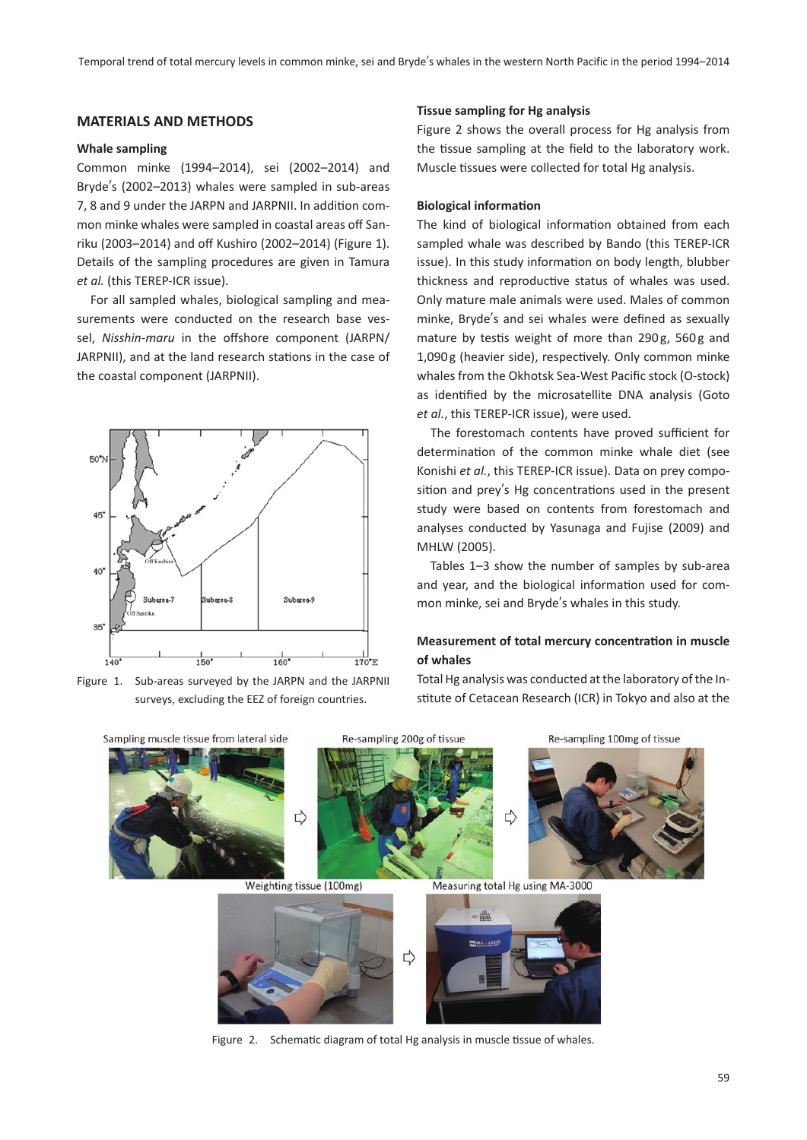# **MATERIALS AND METHODS**

#### **Whale sampling**

Common minke (1994–2014), sei (2002–2014) and Bryde's (2002–2013) whales were sampled in sub-areas 7, 8 and 9 under the JARPN and JARPNII. In addition common minke whales were sampled in coastal areas off Sanriku (2003–2014) and off Kushiro (2002–2014) (Figure 1). Details of the sampling procedures are given in Tamura *et al.* (this TEREP-ICR issue).

For all sampled whales, biological sampling and measurements were conducted on the research base vessel, *Nisshin-maru* in the offshore component (JARPN/ JARPNII), and at the land research stations in the case of the coastal component (JARPNII).



Figure 1. Sub-areas surveyed by the JARPN and the JARPNII surveys, excluding the EEZ of foreign countries.

#### **Tissue sampling for Hg analysis**

Figure 2 shows the overall process for Hg analysis from the tissue sampling at the field to the laboratory work. Muscle tissues were collected for total Hg analysis.

#### **Biological information**

The kind of biological information obtained from each sampled whale was described by Bando (this TEREP-ICR issue). In this study information on body length, blubber thickness and reproductive status of whales was used. Only mature male animals were used. Males of common minke, Bryde's and sei whales were defined as sexually mature by testis weight of more than 290g, 560g and 1,090 g (heavier side), respectively. Only common minke whales from the Okhotsk Sea-West Pacific stock (O-stock) as identified by the microsatellite DNA analysis (Goto *et al.*, this TEREP-ICR issue), were used.

The forestomach contents have proved sufficient for determination of the common minke whale diet (see Konishi *et al.*, this TEREP-ICR issue). Data on prey composition and prey's Hg concentrations used in the present study were based on contents from forestomach and analyses conducted by Yasunaga and Fujise (2009) and MHLW (2005).

Tables 1–3 show the number of samples by sub-area and year, and the biological information used for common minke, sei and Bryde's whales in this study.

# **Measurement of total mercury concentration in muscle of whales**

Total Hg analysis was conducted at the laboratory of the Institute of Cetacean Research (ICR) in Tokyo and also at the



Figure 2. Schematic diagram of total Hg analysis in muscle tissue of whales.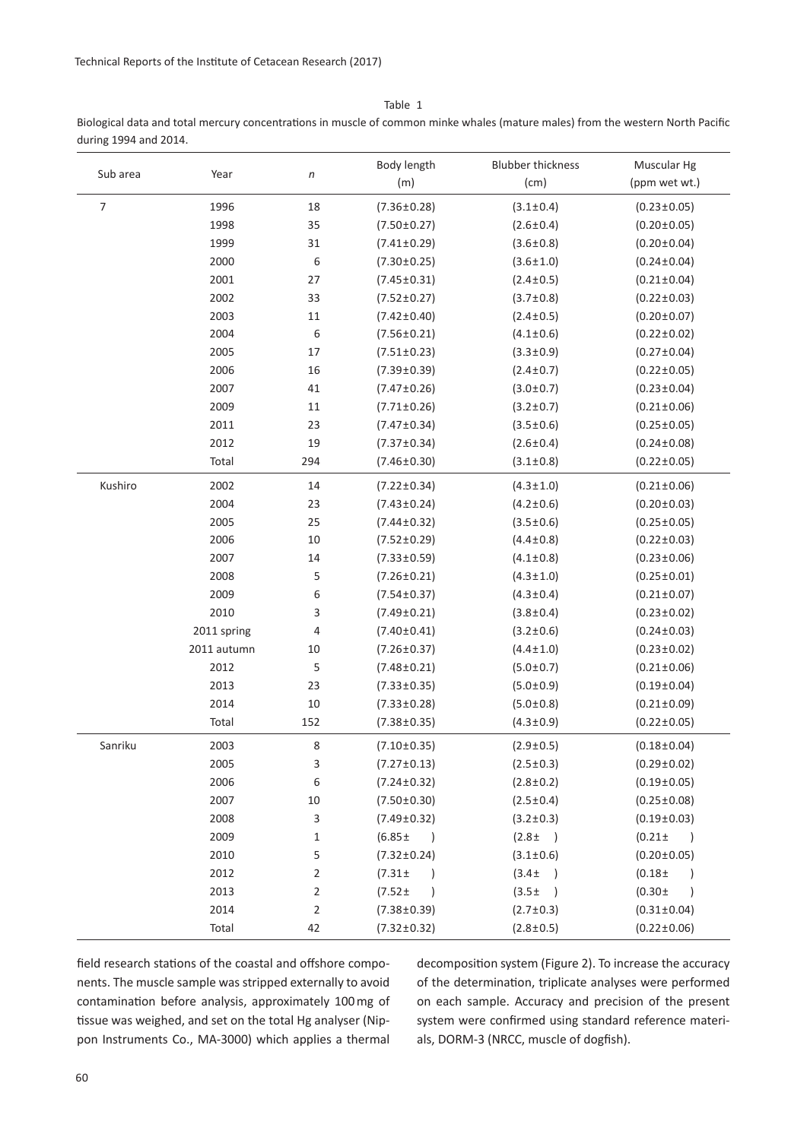Table 1

Biological data and total mercury concentrations in muscle of common minke whales (mature males) from the western North Pacific during 1994 and 2014.

| Sub area       | Year        | $\boldsymbol{n}$ | Body length<br>(m)           | <b>Blubber thickness</b><br>(cm) | Muscular Hg<br>(ppm wet wt.) |
|----------------|-------------|------------------|------------------------------|----------------------------------|------------------------------|
| $\overline{7}$ | 1996        | 18               | $(7.36 \pm 0.28)$            | $(3.1 \pm 0.4)$                  | $(0.23 \pm 0.05)$            |
|                | 1998        | 35               | $(7.50 \pm 0.27)$            | $(2.6 \pm 0.4)$                  | $(0.20 \pm 0.05)$            |
|                | 1999        | 31               | $(7.41 \pm 0.29)$            | $(3.6 \pm 0.8)$                  | $(0.20 \pm 0.04)$            |
|                | 2000        | 6                | $(7.30 \pm 0.25)$            | $(3.6 \pm 1.0)$                  | $(0.24 \pm 0.04)$            |
|                | 2001        | 27               | $(7.45 \pm 0.31)$            | $(2.4 \pm 0.5)$                  | $(0.21 \pm 0.04)$            |
|                | 2002        | 33               | $(7.52 \pm 0.27)$            | $(3.7 \pm 0.8)$                  | $(0.22 \pm 0.03)$            |
|                | 2003        | 11               | $(7.42 \pm 0.40)$            | $(2.4 \pm 0.5)$                  | $(0.20 \pm 0.07)$            |
|                | 2004        | 6                | $(7.56 \pm 0.21)$            | $(4.1 \pm 0.6)$                  | $(0.22 \pm 0.02)$            |
|                | 2005        | 17               | $(7.51 \pm 0.23)$            | $(3.3 \pm 0.9)$                  | $(0.27 \pm 0.04)$            |
|                | 2006        | 16               | $(7.39 \pm 0.39)$            | $(2.4 \pm 0.7)$                  | $(0.22 \pm 0.05)$            |
|                | 2007        | 41               | $(7.47 \pm 0.26)$            | $(3.0 \pm 0.7)$                  | $(0.23 \pm 0.04)$            |
|                | 2009        | 11               | $(7.71 \pm 0.26)$            | $(3.2 \pm 0.7)$                  | $(0.21 \pm 0.06)$            |
|                | 2011        | 23               | $(7.47 \pm 0.34)$            | $(3.5 \pm 0.6)$                  | $(0.25 \pm 0.05)$            |
|                | 2012        | 19               | $(7.37 \pm 0.34)$            | $(2.6 \pm 0.4)$                  | $(0.24 \pm 0.08)$            |
|                | Total       | 294              | $(7.46 \pm 0.30)$            | $(3.1 \pm 0.8)$                  | $(0.22 \pm 0.05)$            |
| Kushiro        | 2002        | 14               | $(7.22 \pm 0.34)$            | $(4.3 \pm 1.0)$                  | $(0.21 \pm 0.06)$            |
|                | 2004        | 23               | $(7.43 \pm 0.24)$            | $(4.2 \pm 0.6)$                  | $(0.20 \pm 0.03)$            |
|                | 2005        | 25               | $(7.44 \pm 0.32)$            | $(3.5 \pm 0.6)$                  | $(0.25 \pm 0.05)$            |
|                | 2006        | 10               | $(7.52 \pm 0.29)$            | $(4.4 \pm 0.8)$                  | $(0.22 \pm 0.03)$            |
|                | 2007        | 14               | $(7.33 \pm 0.59)$            | $(4.1 \pm 0.8)$                  | $(0.23 \pm 0.06)$            |
|                | 2008        | 5                | $(7.26 \pm 0.21)$            | $(4.3 \pm 1.0)$                  | $(0.25 \pm 0.01)$            |
|                | 2009        | 6                | $(7.54 \pm 0.37)$            | $(4.3 \pm 0.4)$                  | $(0.21 \pm 0.07)$            |
|                | 2010        | 3                | $(7.49 \pm 0.21)$            | $(3.8 \pm 0.4)$                  | $(0.23 \pm 0.02)$            |
|                | 2011 spring | 4                | $(7.40 \pm 0.41)$            | $(3.2 \pm 0.6)$                  | $(0.24 \pm 0.03)$            |
|                | 2011 autumn | 10               | $(7.26 \pm 0.37)$            | $(4.4 \pm 1.0)$                  | $(0.23 \pm 0.02)$            |
|                | 2012        | 5                | $(7.48 \pm 0.21)$            | $(5.0 \pm 0.7)$                  | $(0.21 \pm 0.06)$            |
|                | 2013        | 23               | $(7.33 \pm 0.35)$            | $(5.0 \pm 0.9)$                  | $(0.19 \pm 0.04)$            |
|                | 2014        | 10               | $(7.33 \pm 0.28)$            | $(5.0 \pm 0.8)$                  | $(0.21 \pm 0.09)$            |
|                | Total       | 152              | $(7.38 \pm 0.35)$            | $(4.3 \pm 0.9)$                  | $(0.22 \pm 0.05)$            |
| Sanriku        | 2003        | 8                | $(7.10 \pm 0.35)$            | $(2.9 \pm 0.5)$                  | $(0.18 \pm 0.04)$            |
|                | 2005        | 3                | $(7.27 \pm 0.13)$            | $(2.5 \pm 0.3)$                  | $(0.29 \pm 0.02)$            |
|                | 2006        | 6                | $(7.24 \pm 0.32)$            | $(2.8 \pm 0.2)$                  | $(0.19 \pm 0.05)$            |
|                | 2007        | 10               | $(7.50 \pm 0.30)$            | $(2.5 \pm 0.4)$                  | $(0.25 \pm 0.08)$            |
|                | 2008        | 3                | $(7.49 \pm 0.32)$            | $(3.2 \pm 0.3)$                  | $(0.19 \pm 0.03)$            |
|                | 2009        | $\mathbf 1$      | $(6.85 \pm$<br>$\rightarrow$ | $(2.8 \pm )$                     | $(0.21 \pm$<br>$\rightarrow$ |
|                | 2010        | 5                | $(7.32 \pm 0.24)$            | $(3.1 \pm 0.6)$                  | $(0.20 \pm 0.05)$            |
|                | 2012        | 2                | $(7.31 \pm$<br>$\lambda$     | $(3.4 \pm$<br>$\rightarrow$      | $(0.18 +$<br>$\overline{)}$  |
|                | 2013        | 2                | $(7.52 \pm$<br>$\lambda$     | $(3.5 \pm$<br>$\rightarrow$      | $(0.30 \pm$<br>$\lambda$     |
|                | 2014        | 2                | $(7.38 \pm 0.39)$            | $(2.7 \pm 0.3)$                  | $(0.31 \pm 0.04)$            |
|                | Total       | 42               | $(7.32 \pm 0.32)$            | $(2.8 \pm 0.5)$                  | $(0.22 \pm 0.06)$            |

field research stations of the coastal and offshore components. The muscle sample was stripped externally to avoid contamination before analysis, approximately 100 mg of tissue was weighed, and set on the total Hg analyser (Nippon Instruments Co., MA-3000) which applies a thermal decomposition system (Figure 2). To increase the accuracy of the determination, triplicate analyses were performed on each sample. Accuracy and precision of the present system were confirmed using standard reference materials, DORM-3 (NRCC, muscle of dogfish).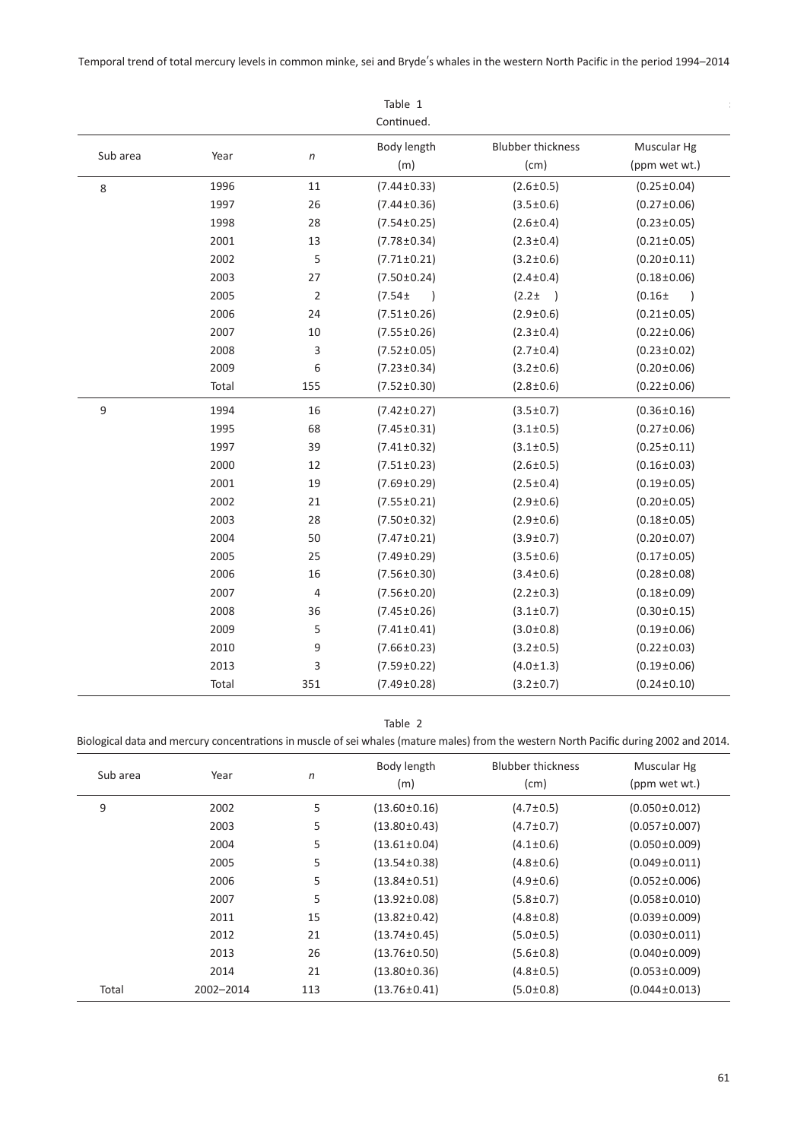Temporal trend of total mercury levels in common minke, sei and Bryde's whales in the western North Pacific in the period 1994–2014

|          |       |                | Table 1<br>Continued.        |                                  |                              |
|----------|-------|----------------|------------------------------|----------------------------------|------------------------------|
| Sub area | Year  | $\sqrt{n}$     | Body length<br>(m)           | <b>Blubber thickness</b><br>(cm) | Muscular Hg<br>(ppm wet wt.) |
| 8        | 1996  | 11             | $(7.44 \pm 0.33)$            | $(2.6 \pm 0.5)$                  | $(0.25 \pm 0.04)$            |
|          | 1997  | 26             | $(7.44 \pm 0.36)$            | $(3.5 \pm 0.6)$                  | $(0.27 \pm 0.06)$            |
|          | 1998  | 28             | $(7.54 \pm 0.25)$            | $(2.6 \pm 0.4)$                  | $(0.23 \pm 0.05)$            |
|          | 2001  | 13             | $(7.78 \pm 0.34)$            | $(2.3 \pm 0.4)$                  | $(0.21 \pm 0.05)$            |
|          | 2002  | 5              | $(7.71 \pm 0.21)$            | $(3.2 \pm 0.6)$                  | $(0.20 \pm 0.11)$            |
|          | 2003  | 27             | $(7.50 \pm 0.24)$            | $(2.4 \pm 0.4)$                  | $(0.18 \pm 0.06)$            |
|          | 2005  | $\overline{2}$ | $(7.54 \pm$<br>$\rightarrow$ | $(2.2 +$<br>$\rightarrow$        | $(0.16 +$<br>$\rightarrow$   |
|          | 2006  | 24             | $(7.51 \pm 0.26)$            | $(2.9 \pm 0.6)$                  | $(0.21 \pm 0.05)$            |
|          | 2007  | 10             | $(7.55 \pm 0.26)$            | $(2.3 \pm 0.4)$                  | $(0.22 \pm 0.06)$            |
|          | 2008  | 3              | $(7.52 \pm 0.05)$            | $(2.7 \pm 0.4)$                  | $(0.23 \pm 0.02)$            |
|          | 2009  | 6              | $(7.23 \pm 0.34)$            | $(3.2 \pm 0.6)$                  | $(0.20 \pm 0.06)$            |
|          | Total | 155            | $(7.52 \pm 0.30)$            | $(2.8 \pm 0.6)$                  | $(0.22 \pm 0.06)$            |
| 9        | 1994  | 16             | $(7.42 \pm 0.27)$            | $(3.5 \pm 0.7)$                  | $(0.36 \pm 0.16)$            |
|          | 1995  | 68             | $(7.45 \pm 0.31)$            | $(3.1 \pm 0.5)$                  | $(0.27 \pm 0.06)$            |
|          | 1997  | 39             | $(7.41 \pm 0.32)$            | $(3.1 \pm 0.5)$                  | $(0.25 \pm 0.11)$            |
|          | 2000  | 12             | $(7.51 \pm 0.23)$            | $(2.6 \pm 0.5)$                  | $(0.16 \pm 0.03)$            |
|          | 2001  | 19             | $(7.69 \pm 0.29)$            | $(2.5 \pm 0.4)$                  | $(0.19 \pm 0.05)$            |
|          | 2002  | 21             | $(7.55 \pm 0.21)$            | $(2.9 \pm 0.6)$                  | $(0.20 \pm 0.05)$            |
|          | 2003  | 28             | $(7.50 \pm 0.32)$            | $(2.9 \pm 0.6)$                  | $(0.18 \pm 0.05)$            |
|          | 2004  | 50             | $(7.47 \pm 0.21)$            | $(3.9 \pm 0.7)$                  | $(0.20 \pm 0.07)$            |
|          | 2005  | 25             | $(7.49 \pm 0.29)$            | $(3.5 \pm 0.6)$                  | $(0.17 \pm 0.05)$            |
|          | 2006  | 16             | $(7.56 \pm 0.30)$            | $(3.4 \pm 0.6)$                  | $(0.28 \pm 0.08)$            |
|          | 2007  | 4              | $(7.56 \pm 0.20)$            | $(2.2 \pm 0.3)$                  | $(0.18 \pm 0.09)$            |
|          | 2008  | 36             | $(7.45 \pm 0.26)$            | $(3.1 \pm 0.7)$                  | $(0.30 \pm 0.15)$            |
|          | 2009  | 5              | $(7.41 \pm 0.41)$            | $(3.0 \pm 0.8)$                  | $(0.19 \pm 0.06)$            |
|          | 2010  | 9              | $(7.66 \pm 0.23)$            | $(3.2 \pm 0.5)$                  | $(0.22 \pm 0.03)$            |
|          | 2013  | 3              | $(7.59 \pm 0.22)$            | $(4.0 \pm 1.3)$                  | $(0.19 \pm 0.06)$            |
|          | Total | 351            | $(7.49 \pm 0.28)$            | $(3.2 \pm 0.7)$                  | $(0.24 \pm 0.10)$            |

Table 2

Biological data and mercury concentrations in muscle of sei whales (mature males) from the western North Pacific during 2002 and 2014.

| Sub area | Year      | $\sqrt{n}$ | Body length<br>(m) | <b>Blubber thickness</b><br>(cm) | Muscular Hg<br>(ppm wet wt.) |
|----------|-----------|------------|--------------------|----------------------------------|------------------------------|
| 9        | 2002      | 5          | $(13.60 \pm 0.16)$ | $(4.7 \pm 0.5)$                  | $(0.050 \pm 0.012)$          |
|          | 2003      | 5          | $(13.80 \pm 0.43)$ | $(4.7 \pm 0.7)$                  | $(0.057 \pm 0.007)$          |
|          | 2004      | 5          | $(13.61 \pm 0.04)$ | $(4.1 \pm 0.6)$                  | $(0.050 \pm 0.009)$          |
|          | 2005      | 5          | $(13.54 \pm 0.38)$ | $(4.8 \pm 0.6)$                  | $(0.049 \pm 0.011)$          |
|          | 2006      | 5          | $(13.84 \pm 0.51)$ | $(4.9 \pm 0.6)$                  | $(0.052 \pm 0.006)$          |
|          | 2007      | 5          | $(13.92 \pm 0.08)$ | $(5.8 \pm 0.7)$                  | $(0.058 \pm 0.010)$          |
|          | 2011      | 15         | $(13.82 \pm 0.42)$ | $(4.8 \pm 0.8)$                  | $(0.039 \pm 0.009)$          |
|          | 2012      | 21         | $(13.74 \pm 0.45)$ | $(5.0 \pm 0.5)$                  | $(0.030 \pm 0.011)$          |
|          | 2013      | 26         | $(13.76 \pm 0.50)$ | $(5.6 \pm 0.8)$                  | $(0.040 \pm 0.009)$          |
|          | 2014      | 21         | $(13.80 \pm 0.36)$ | $(4.8 \pm 0.5)$                  | $(0.053 \pm 0.009)$          |
| Total    | 2002-2014 | 113        | $(13.76 \pm 0.41)$ | $(5.0 \pm 0.8)$                  | $(0.044 \pm 0.013)$          |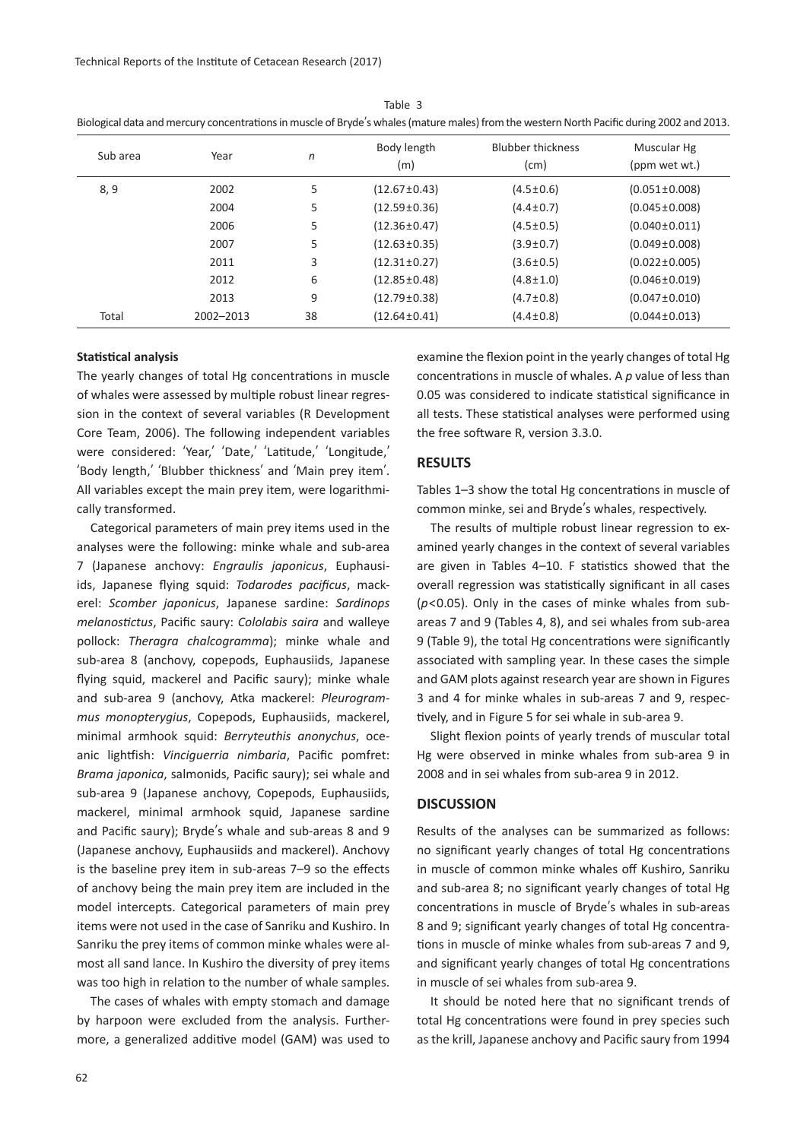Technical Reports of the Institute of Cetacean Research (2017)

| Sub area | Year      | n  | Body length<br>(m) | <b>Blubber thickness</b><br>(cm) | Muscular Hg<br>(ppm wet wt.) |
|----------|-----------|----|--------------------|----------------------------------|------------------------------|
| 8,9      | 2002      | 5  | $(12.67 \pm 0.43)$ | $(4.5 \pm 0.6)$                  | $(0.051 \pm 0.008)$          |
|          | 2004      | 5  | $(12.59 \pm 0.36)$ | $(4.4 \pm 0.7)$                  | $(0.045 \pm 0.008)$          |
|          | 2006      | 5  | $(12.36 \pm 0.47)$ | $(4.5 \pm 0.5)$                  | $(0.040 \pm 0.011)$          |
|          | 2007      | 5  | $(12.63 \pm 0.35)$ | $(3.9 \pm 0.7)$                  | $(0.049 \pm 0.008)$          |
|          | 2011      | 3  | $(12.31 \pm 0.27)$ | $(3.6 \pm 0.5)$                  | $(0.022 \pm 0.005)$          |
|          | 2012      | 6  | $(12.85 \pm 0.48)$ | $(4.8 \pm 1.0)$                  | $(0.046 \pm 0.019)$          |
|          | 2013      | 9  | $(12.79 \pm 0.38)$ | $(4.7 \pm 0.8)$                  | $(0.047 \pm 0.010)$          |
| Total    | 2002-2013 | 38 | $(12.64 \pm 0.41)$ | $(4.4 \pm 0.8)$                  | $(0.044 \pm 0.013)$          |

Table 3 Biological data and mercury concentrations in muscle of Bryde's whales (mature males) from the western North Pacific during 2002 and 2013.

## **Statistical analysis**

The yearly changes of total Hg concentrations in muscle of whales were assessed by multiple robust linear regression in the context of several variables (R Development Core Team, 2006). The following independent variables were considered: ʻYear,' ʻDate,' ʻLatitude,' ʻLongitude,' ʻBody length,' ʻBlubber thickness' and ʻMain prey item'. All variables except the main prey item, were logarithmically transformed.

Categorical parameters of main prey items used in the analyses were the following: minke whale and sub-area 7 (Japanese anchovy: *Engraulis japonicus*, Euphausiids, Japanese flying squid: *Todarodes pacificus*, mackerel: *Scomber japonicus*, Japanese sardine: *Sardinops melanostictus*, Pacific saury: *Cololabis saira* and walleye pollock: *Theragra chalcogramma*); minke whale and sub-area 8 (anchovy, copepods, Euphausiids, Japanese flying squid, mackerel and Pacific saury); minke whale and sub-area 9 (anchovy, Atka mackerel: *Pleurogrammus monopterygius*, Copepods, Euphausiids, mackerel, minimal armhook squid: *Berryteuthis anonychus*, oceanic lightfish: *Vinciguerria nimbaria*, Pacific pomfret: *Brama japonica*, salmonids, Pacific saury); sei whale and sub-area 9 (Japanese anchovy, Copepods, Euphausiids, mackerel, minimal armhook squid, Japanese sardine and Pacific saury); Bryde's whale and sub-areas 8 and 9 (Japanese anchovy, Euphausiids and mackerel). Anchovy is the baseline prey item in sub-areas 7–9 so the effects of anchovy being the main prey item are included in the model intercepts. Categorical parameters of main prey items were not used in the case of Sanriku and Kushiro. In Sanriku the prey items of common minke whales were almost all sand lance. In Kushiro the diversity of prey items was too high in relation to the number of whale samples.

The cases of whales with empty stomach and damage by harpoon were excluded from the analysis. Furthermore, a generalized additive model (GAM) was used to examine the flexion point in the yearly changes of total Hg concentrations in muscle of whales. A *p* value of less than 0.05 was considered to indicate statistical significance in all tests. These statistical analyses were performed using the free software R, version 3.3.0.

## **RESULTS**

Tables 1–3 show the total Hg concentrations in muscle of common minke, sei and Bryde's whales, respectively.

The results of multiple robust linear regression to examined yearly changes in the context of several variables are given in Tables 4–10. F statistics showed that the overall regression was statistically significant in all cases (*p*<0.05). Only in the cases of minke whales from subareas 7 and 9 (Tables 4, 8), and sei whales from sub-area 9 (Table 9), the total Hg concentrations were significantly associated with sampling year. In these cases the simple and GAM plots against research year are shown in Figures 3 and 4 for minke whales in sub-areas 7 and 9, respectively, and in Figure 5 for sei whale in sub-area 9.

Slight flexion points of yearly trends of muscular total Hg were observed in minke whales from sub-area 9 in 2008 and in sei whales from sub-area 9 in 2012.

# **DISCUSSION**

Results of the analyses can be summarized as follows: no significant yearly changes of total Hg concentrations in muscle of common minke whales off Kushiro, Sanriku and sub-area 8; no significant yearly changes of total Hg concentrations in muscle of Bryde's whales in sub-areas 8 and 9; significant yearly changes of total Hg concentrations in muscle of minke whales from sub-areas 7 and 9, and significant yearly changes of total Hg concentrations in muscle of sei whales from sub-area 9.

It should be noted here that no significant trends of total Hg concentrations were found in prey species such as the krill, Japanese anchovy and Pacific saury from 1994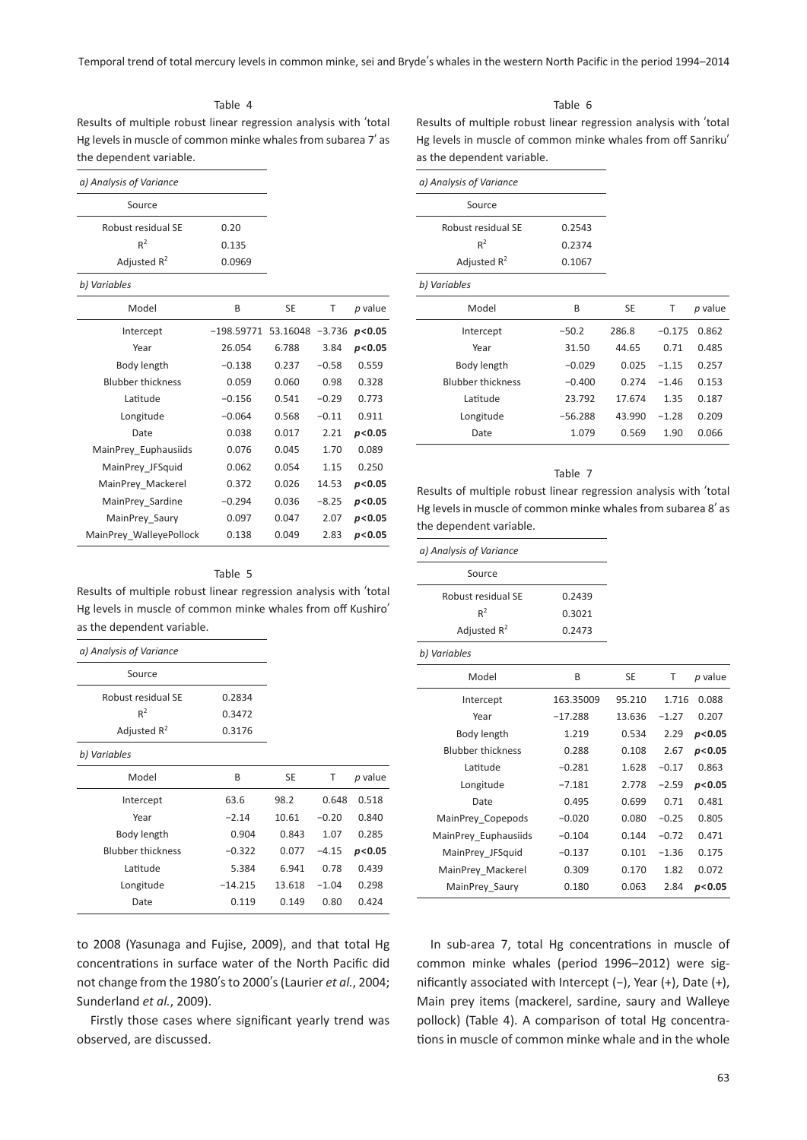Temporal trend of total mercury levels in common minke, sei and Bryde's whales in the western North Pacific in the period 1994–2014

Table 4

Results of multiple robust linear regression analysis with ʻtotal Hg levels in muscle of common minke whales from subarea 7' as the dependent variable.

| a) Analysis of Variance  |              |           |          |         |
|--------------------------|--------------|-----------|----------|---------|
| Source                   |              |           |          |         |
| Robust residual SE       | 0.20         |           |          |         |
| $R^2$                    | 0.135        |           |          |         |
| Adjusted $R^2$           | 0.0969       |           |          |         |
| b) Variables             |              |           |          |         |
| Model                    | B            | <b>SE</b> | T        | p value |
| Intercept                | $-198.59771$ | 53.16048  | $-3.736$ | p< 0.05 |
| Year                     | 26.054       | 6.788     | 3.84     | p< 0.05 |
| Body length              | $-0.138$     | 0.237     | $-0.58$  | 0.559   |
| <b>Blubber thickness</b> | 0.059        | 0.060     | 0.98     | 0.328   |
| Latitude                 | $-0.156$     | 0.541     | $-0.29$  | 0.773   |
| Longitude                | $-0.064$     | 0.568     | $-0.11$  | 0.911   |
| Date                     | 0.038        | 0.017     | 2.21     | p< 0.05 |
| MainPrey_Euphausiids     | 0.076        | 0.045     | 1.70     | 0.089   |
| MainPrey JFSquid         | 0.062        | 0.054     | 1.15     | 0.250   |
| MainPrey_Mackerel        | 0.372        | 0.026     | 14.53    | p< 0.05 |
| MainPrey Sardine         | $-0.294$     | 0.036     | $-8.25$  | p< 0.05 |
| MainPrey Saury           | 0.097        | 0.047     | 2.07     | p<0.05  |
| MainPrey WalleyePollock  | 0.138        | 0.049     | 2.83     | p<0.05  |

#### Table 6

Results of multiple robust linear regression analysis with ʻtotal Hg levels in muscle of common minke whales from off Sanriku' as the dependent variable.

| a) Analysis of Variance  |           |        |          |         |
|--------------------------|-----------|--------|----------|---------|
| Source                   |           |        |          |         |
| Robust residual SE       | 0.2543    |        |          |         |
| $R^2$                    | 0.2374    |        |          |         |
| Adjusted $R^2$           | 0.1067    |        |          |         |
| b) Variables             |           |        |          |         |
| Model                    | B         | SE     | Τ        | p value |
| Intercept                | $-50.2$   | 286.8  | $-0.175$ | 0.862   |
| Year                     | 31.50     | 44.65  | 0.71     | 0.485   |
| Body length              | $-0.029$  | 0.025  | $-1.15$  | 0.257   |
| <b>Blubber thickness</b> | $-0.400$  | 0.274  | $-1.46$  | 0.153   |
| Latitude                 | 23.792    | 17.674 | 1.35     | 0.187   |
| Longitude                | $-56.288$ | 43.990 | $-1.28$  | 0.209   |
| Date                     | 1.079     | 0.569  | 1.90     | 0.066   |

#### Table 7

Results of multiple robust linear regression analysis with ʻtotal Hg levels in muscle of common minke whales from subarea 8' as the dependent variable.

### Table 5

Results of multiple robust linear regression analysis with ʻtotal Hg levels in muscle of common minke whales from off Kushiro' as the dependent variable.

| a) Analysis of Variance  |           |           |         |         |
|--------------------------|-----------|-----------|---------|---------|
| Source                   |           |           |         |         |
| Robust residual SE       | 0.2834    |           |         |         |
| $R^2$                    | 0.3472    |           |         |         |
| Adjusted $R^2$           | 0.3176    |           |         |         |
| b) Variables             |           |           |         |         |
| Model                    | B         | <b>SE</b> | т       | p value |
| Intercept                | 63.6      | 98.2      | 0.648   | 0.518   |
| Year                     | $-2.14$   | 10.61     | $-0.20$ | 0.840   |
| Body length              | 0.904     | 0.843     | 1.07    | 0.285   |
| <b>Blubber thickness</b> | $-0.322$  | 0.077     | $-4.15$ | p< 0.05 |
| Latitude                 | 5.384     | 6.941     | 0.78    | 0.439   |
| Longitude                | $-14.215$ | 13.618    | $-1.04$ | 0.298   |
| Date                     | 0.119     | 0.149     | 0.80    | 0.424   |

to 2008 (Yasunaga and Fujise, 2009), and that total Hg concentrations in surface water of the North Pacific did not change from the 1980's to 2000's (Laurier *et al.*, 2004; Sunderland *et al.*, 2009).

Firstly those cases where significant yearly trend was observed, are discussed.

| a) Analysis of Variance |        |
|-------------------------|--------|
| Source                  |        |
| Robust residual SE      | 0.2439 |
| $R^2$                   | 0.3021 |
| Adjusted $R^2$          | 0.2473 |

| b) Variables |  |
|--------------|--|
|              |  |

| <i>b</i> vur rubics      |           |        |         |         |
|--------------------------|-----------|--------|---------|---------|
| Model                    | B         | SE     | Т       | p value |
| Intercept                | 163.35009 | 95.210 | 1.716   | 0.088   |
| Year                     | $-17.288$ | 13.636 | $-1.27$ | 0.207   |
| Body length              | 1.219     | 0.534  | 2.29    | p<0.05  |
| <b>Blubber thickness</b> | 0.288     | 0.108  | 2.67    | p<0.05  |
| Latitude                 | $-0.281$  | 1.628  | $-0.17$ | 0.863   |
| Longitude                | $-7.181$  | 2.778  | $-2.59$ | p<0.05  |
| Date                     | 0.495     | 0.699  | 0.71    | 0.481   |
| MainPrey Copepods        | $-0.020$  | 0.080  | $-0.25$ | 0.805   |
| MainPrey Euphausiids     | $-0.104$  | 0.144  | $-0.72$ | 0.471   |
| MainPrey JFSquid         | $-0.137$  | 0.101  | $-1.36$ | 0.175   |
| MainPrey Mackerel        | 0.309     | 0.170  | 1.82    | 0.072   |
| MainPrey Saury           | 0.180     | 0.063  | 2.84    | p<0.05  |

In sub-area 7, total Hg concentrations in muscle of common minke whales (period 1996–2012) were significantly associated with Intercept (−), Year (+), Date (+), Main prey items (mackerel, sardine, saury and Walleye pollock) (Table 4). A comparison of total Hg concentrations in muscle of common minke whale and in the whole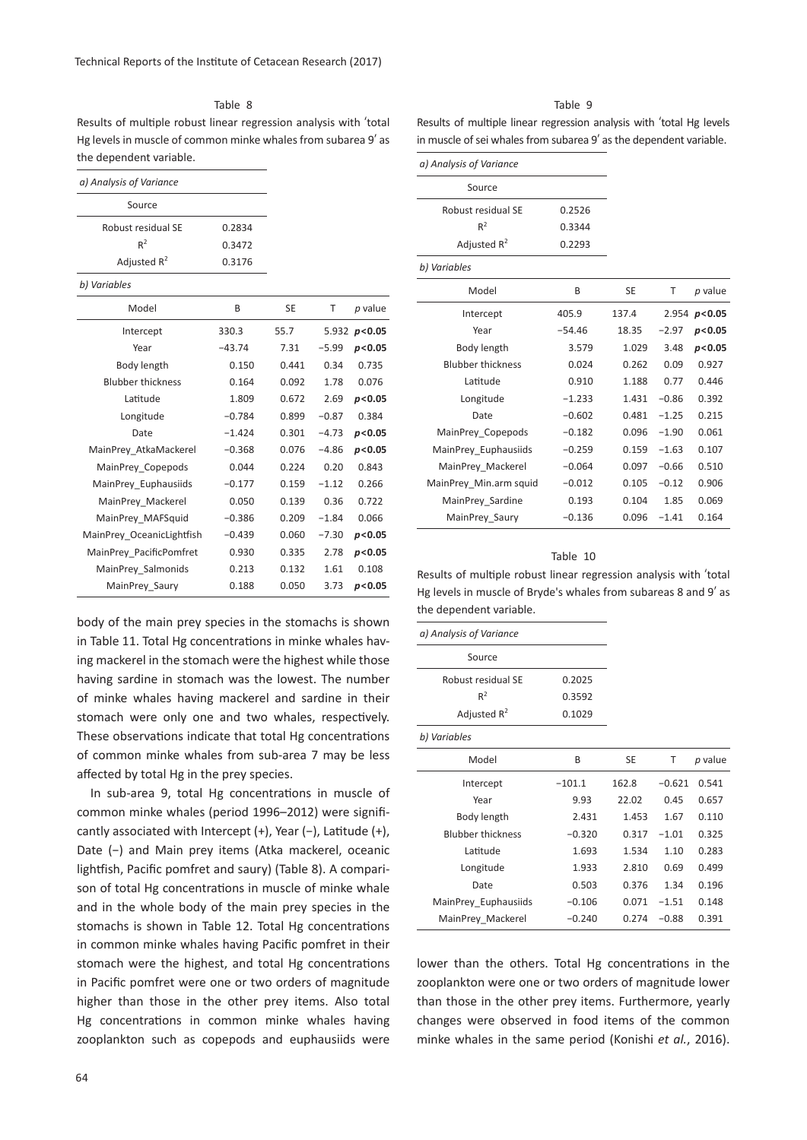Table 8

Results of multiple robust linear regression analysis with ʻtotal Hg levels in muscle of common minke whales from subarea 9' as the dependent variable.

| a) Analysis of Variance   |          |           |         |                  |
|---------------------------|----------|-----------|---------|------------------|
| Source                    |          |           |         |                  |
| Robust residual SE        | 0.2834   |           |         |                  |
| $R^2$                     | 0.3472   |           |         |                  |
| Adjusted $R^2$            | 0.3176   |           |         |                  |
| b) Variables              |          |           |         |                  |
| Model                     | B        | <b>SE</b> | T       | p value          |
| Intercept                 | 330.3    | 55.7      |         | 5.932 $p < 0.05$ |
| Year                      | $-43.74$ | 7.31      | $-5.99$ | p< 0.05          |
| Body length               | 0.150    | 0.441     | 0.34    | 0.735            |
| <b>Blubber thickness</b>  | 0.164    | 0.092     | 1.78    | 0.076            |
| Latitude                  | 1.809    | 0.672     | 2.69    | p< 0.05          |
| Longitude                 | $-0.784$ | 0.899     | $-0.87$ | 0.384            |
| Date                      | $-1.424$ | 0.301     | $-4.73$ | p< 0.05          |
| MainPrey AtkaMackerel     | $-0.368$ | 0.076     | $-4.86$ | p< 0.05          |
| MainPrey Copepods         | 0.044    | 0.224     | 0.20    | 0.843            |
| MainPrey Euphausiids      | $-0.177$ | 0.159     | $-1.12$ | 0.266            |
| MainPrey Mackerel         | 0.050    | 0.139     | 0.36    | 0.722            |
| MainPrey MAFSquid         | $-0.386$ | 0.209     | $-1.84$ | 0.066            |
| MainPrey OceanicLightfish | $-0.439$ | 0.060     | $-7.30$ | p< 0.05          |
| MainPrey PacificPomfret   | 0.930    | 0.335     | 2.78    | p< 0.05          |
| MainPrey Salmonids        | 0.213    | 0.132     | 1.61    | 0.108            |
| MainPrey Saury            | 0.188    | 0.050     | 3.73    | p<0.05           |

body of the main prey species in the stomachs is shown in Table 11. Total Hg concentrations in minke whales having mackerel in the stomach were the highest while those having sardine in stomach was the lowest. The number of minke whales having mackerel and sardine in their stomach were only one and two whales, respectively. These observations indicate that total Hg concentrations of common minke whales from sub-area 7 may be less affected by total Hg in the prey species.

In sub-area 9, total Hg concentrations in muscle of common minke whales (period 1996–2012) were significantly associated with Intercept (+), Year (−), Latitude (+), Date (−) and Main prey items (Atka mackerel, oceanic lightfish, Pacific pomfret and saury) (Table 8). A comparison of total Hg concentrations in muscle of minke whale and in the whole body of the main prey species in the stomachs is shown in Table 12. Total Hg concentrations in common minke whales having Pacific pomfret in their stomach were the highest, and total Hg concentrations in Pacific pomfret were one or two orders of magnitude higher than those in the other prey items. Also total Hg concentrations in common minke whales having zooplankton such as copepods and euphausiids were

### Table 9

Results of multiple linear regression analysis with ʻtotal Hg levels in muscle of sei whales from subarea 9' as the dependent variable.

| a) Analysis of Variance  |          |           |         |                  |
|--------------------------|----------|-----------|---------|------------------|
| Source                   |          |           |         |                  |
| Robust residual SE       | 0.2526   |           |         |                  |
| $R^2$                    | 0.3344   |           |         |                  |
| Adjusted $R^2$           | 0.2293   |           |         |                  |
| b) Variables             |          |           |         |                  |
| Model                    | B        | <b>SE</b> | T       | p value          |
| Intercept                | 405.9    | 137.4     |         | 2.954 $p < 0.05$ |
| Year                     | $-54.46$ | 18.35     | $-2.97$ | p<0.05           |
| Body length              | 3.579    | 1.029     | 3.48    | p < 0.05         |
| <b>Blubber thickness</b> | 0.024    | 0.262     | 0.09    | 0.927            |
| Latitude                 | 0.910    | 1.188     | 0.77    | 0.446            |
| Longitude                | $-1.233$ | 1.431     | $-0.86$ | 0.392            |
| Date                     | $-0.602$ | 0.481     | $-1.25$ | 0.215            |
| MainPrey Copepods        | $-0.182$ | 0.096     | $-1.90$ | 0.061            |
| MainPrey Euphausiids     | $-0.259$ | 0.159     | $-1.63$ | 0.107            |
| MainPrey Mackerel        | $-0.064$ | 0.097     | $-0.66$ | 0.510            |
| MainPrey Min.arm squid   | $-0.012$ | 0.105     | $-0.12$ | 0.906            |
| MainPrey Sardine         | 0.193    | 0.104     | 1.85    | 0.069            |
| MainPrey Saury           | $-0.136$ | 0.096     | $-1.41$ | 0.164            |
|                          |          |           |         |                  |

#### Table 10

Results of multiple robust linear regression analysis with ʻtotal Hg levels in muscle of Bryde's whales from subareas 8 and 9' as the dependent variable.

| a) Analysis of Variance  |          |           |          |         |
|--------------------------|----------|-----------|----------|---------|
| Source                   |          |           |          |         |
| Robust residual SF       | 0.2025   |           |          |         |
| $R^2$                    | 0.3592   |           |          |         |
| Adjusted $R^2$           | 0.1029   |           |          |         |
| b) Variables             |          |           |          |         |
| Model                    | B        | <b>SE</b> | T        | p value |
| Intercept                | $-101.1$ | 162.8     | $-0.621$ | 0.541   |
| Year                     | 9.93     | 22.02     | 0.45     | 0.657   |
| Body length              | 2.431    | 1.453     | 1.67     | 0.110   |
| <b>Blubber thickness</b> | $-0.320$ | 0.317     | $-1.01$  | 0.325   |
| Latitude                 | 1.693    | 1.534     | 1.10     | 0.283   |
| Longitude                | 1.933    | 2.810     | 0.69     | 0.499   |
| Date                     | 0.503    | 0.376     | 1.34     | 0.196   |
| MainPrey Euphausiids     | $-0.106$ | 0.071     | $-1.51$  | 0.148   |
| MainPrey Mackerel        | $-0.240$ | 0.274     | $-0.88$  | 0.391   |

lower than the others. Total Hg concentrations in the zooplankton were one or two orders of magnitude lower than those in the other prey items. Furthermore, yearly changes were observed in food items of the common minke whales in the same period (Konishi *et al.*, 2016).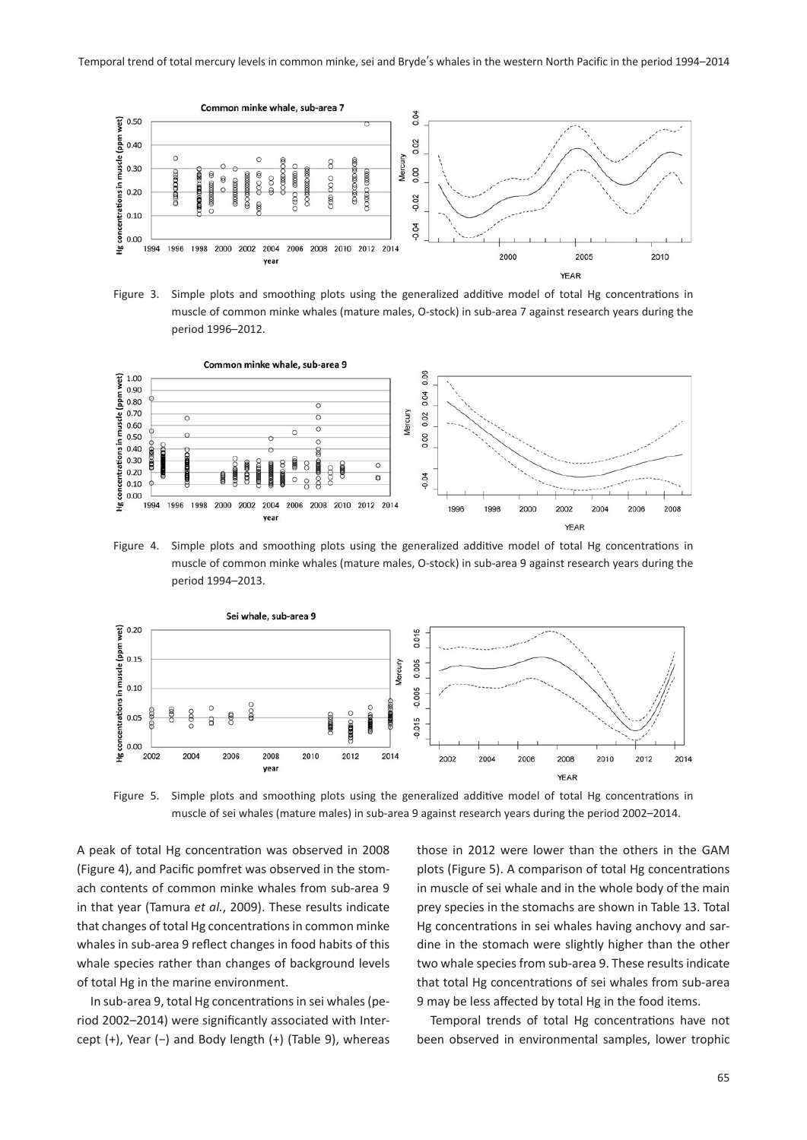

Figure 3. Simple plots and smoothing plots using the generalized additive model of total Hg concentrations in muscle of common minke whales (mature males, O-stock) in sub-area 7 against research years during the period 1996–2012.



Figure 4. Simple plots and smoothing plots using the generalized additive model of total Hg concentrations in muscle of common minke whales (mature males, O-stock) in sub-area 9 against research years during the period 1994–2013.



Figure 5. Simple plots and smoothing plots using the generalized additive model of total Hg concentrations in muscle of sei whales (mature males) in sub-area 9 against research years during the period 2002–2014.

A peak of total Hg concentration was observed in 2008 (Figure 4), and Pacific pomfret was observed in the stomach contents of common minke whales from sub-area 9 in that year (Tamura *et al.*, 2009). These results indicate that changes of total Hg concentrations in common minke whales in sub-area 9 reflect changes in food habits of this whale species rather than changes of background levels of total Hg in the marine environment.

In sub-area 9, total Hg concentrations in sei whales (period 2002–2014) were significantly associated with Intercept (+), Year (−) and Body length (+) (Table 9), whereas

those in 2012 were lower than the others in the GAM plots (Figure 5). A comparison of total Hg concentrations in muscle of sei whale and in the whole body of the main prey species in the stomachs are shown in Table 13. Total Hg concentrations in sei whales having anchovy and sardine in the stomach were slightly higher than the other two whale species from sub-area 9. These results indicate that total Hg concentrations of sei whales from sub-area 9 may be less affected by total Hg in the food items.

Temporal trends of total Hg concentrations have not been observed in environmental samples, lower trophic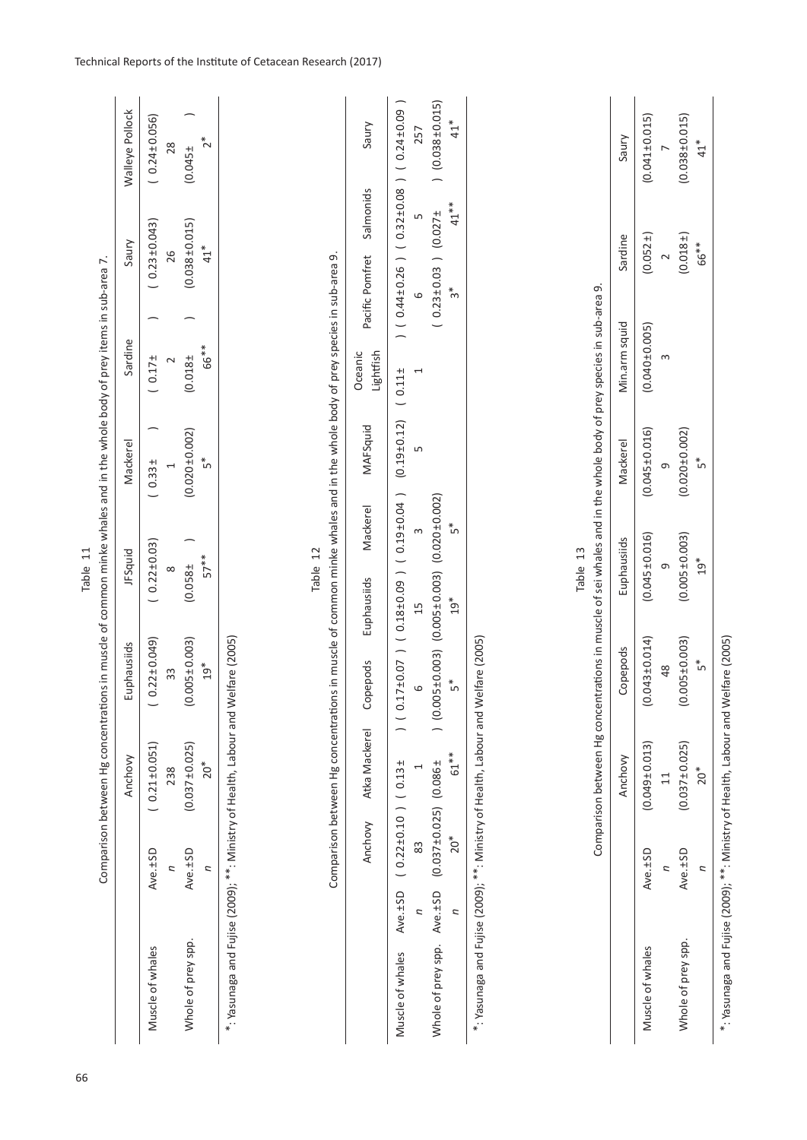Muscle of whales Ave.±SD (0.049±0.013) (0.014)10.0145±0.016) (0.01510.045±0.016) (0.043±0.016) (0.049±0.015) (0.049±0.005) (0.040±0.0051<br>Muscle of whales Ave.±SD (0.045±0.015) (0.01510.045±0.016) (0.045±0.0141) (0.045±0.0  $(0.045 \pm 0.016)$  $(0.045 \pm 0.016)$  $(0.043 \pm 0.014)$  $(0.049 \pm 0.013)$ Ave.±SD

Table 13 Comparison between Hg concentrations in muscle of sei whales and in the whole body of prey species in sub-area 9.

Comparison between Hg concentrations in muscle of sei whales and in the whole body of prey species in sub-area 9.

Anchovy Copepods Euphausiids Mackerel Min.arm squid Sardine Saury

Euphausiids

Copepods

Anchovy

Muscle of whales

Mackerel

 $(0.041 \pm 0.015)$ 

 $(0.052 \pm )$ 

Saury

Sardine

Min.arm squid  $(0.040 \pm 0.005)$  $\infty$   $(0.038 \pm 0.015)$ 

 $(0.018)$ 

 $\overline{a}$ 

66<sup>\*\*</sup>

 $\overline{a}$ 

 $41$ <sup>\*</sup>

 11 48 9 9 3 2 7  $(0.020 \pm 0.002)$  $\sigma$  $(0.005 \pm 0.003)$  $\circ$  $(0.005 \pm 0.003)$ 48  $(0.037 \pm 0.025)$  $\frac{1}{2}$ Ave.±SD *n*Whole of prey spp.

Whole of prey spp. Ave.±SD Ave.±SD (0.037±0.0255±0.003) (0.035±0.005±0.0035±0.003) (0.037±0.025) (0.037±0.025) (0.038±0.015)

 $20^*$  5\* 5 $^{*}$  5 $^{**}$  5 $^{**}$  5 $^{**}$ 

 $19*$ 

 $5<sup>*</sup>$ 

 $\tilde{\tilde{f}}$ 

\*: Yasunaga and Fujise (2009); \*\*: Ministry of Health, Labour and Welfare (2005) \*: Yasunaga and Fujise (2009); \*\*: Ministry of Health, Labour and Welfare (2005)

*n*

 $20<sup>*</sup>$